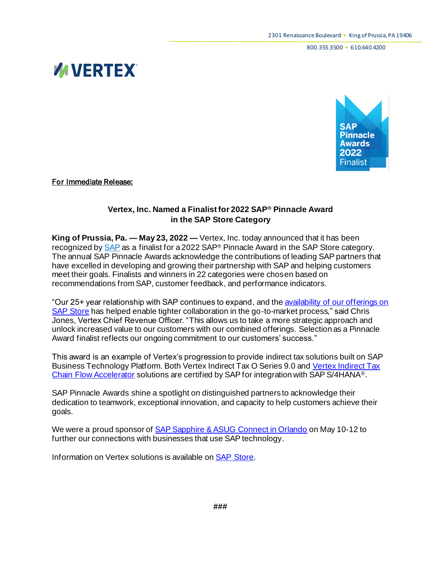800.355.3500 • 610.640.4200





For Immediate Release:

## **Vertex, Inc. Named a Finalist for 2022 SAP® Pinnacle Award in the SAP Store Category**

**King of Prussia, Pa. — May 23, 2022 —** Vertex, Inc. today announced that it has been recognized b[y SAP](http://www.sap.com/) as a finalist for a 2022 SAP® Pinnacle Award in the SAP Store category. The annual SAP Pinnacle Awards acknowledge the contributions of leading SAP partners that have excelled in developing and growing their partnership with SAP and helping customers meet their goals. Finalists and winners in 22 categories were chosen based on recommendations from SAP, customer feedback, and performance indicators.

"Our 25+ year relationship with SAP continues to expand, and th[e availability of our offerings on](https://store.sap.com/dcp/en/search/vertex?query=vertex:relevance:publisher:Vertex,%20Inc.)  [SAP Store](https://store.sap.com/dcp/en/search/vertex?query=vertex:relevance:publisher:Vertex,%20Inc.) has helped enable tighter collaboration in the go-to-market process," said Chris Jones, Vertex Chief Revenue Officer. "This allows us to take a more strategic approach and unlock increased value to our customers with our combined offerings. Selection as a Pinnacle Award finalist reflects our ongoing commitment to our customers' success."

This award is an example of Vertex's progression to provide indirect tax solutions built on SAP Business Technology Platform. Both Vertex Indirect Tax O Series 9.0 an[d Vertex Indirect Tax](https://store.sap.com/dcp/en/product/display-0000059395_live_v1/Vertex%20Indirect%20Tax%20Chain%20Flow%20Accelerator)  [Chain Flow Accelerator](https://store.sap.com/dcp/en/product/display-0000059395_live_v1/Vertex%20Indirect%20Tax%20Chain%20Flow%20Accelerator) solutions are certified by SAP for integration with SAP S/4HANA®.

SAP Pinnacle Awards shine a spotlight on distinguished partners to acknowledge their dedication to teamwork, exceptional innovation, and capacity to help customers achieve their goals.

We were a proud sponsor of [SAP Sapphire & ASUG Connect in Orlando](https://www.vertexinc.com/resources/upcoming-webcasts-events/vertex-silver-sponsor-sapinsider-2022) on May 10-12 to further our connections with businesses that use SAP technology.

Information on Vertex solutions is available on [SAP Store.](https://store.sap.com/dcp/en/search/vertex?query=vertex:relevance:publisher:Vertex,%20Inc.)